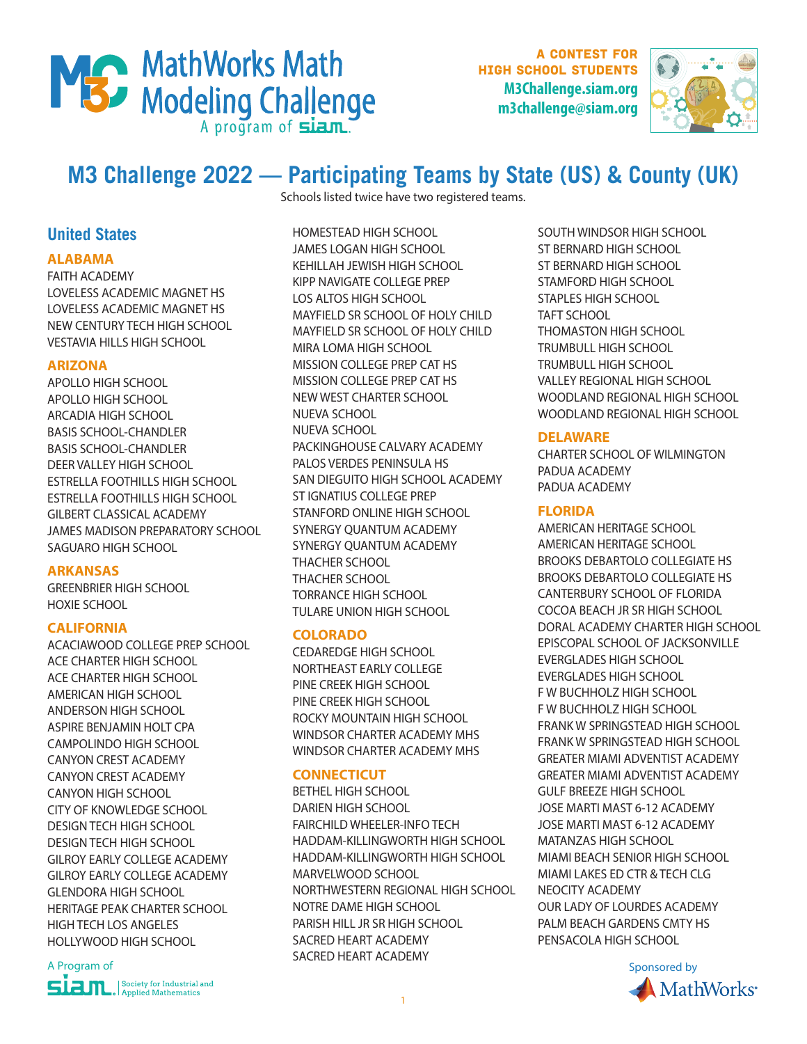

A contest for high school students **M3Challenge.siam.org m3challenge@siam.org**



# **M3 Challenge 2022 — Participating Teams by State (US) & County (UK)**

Schools listed twice have two registered teams.

**United States**

# **ALABAMA**

FAITH ACADEMY LOVELESS ACADEMIC MAGNET HS LOVELESS ACADEMIC MAGNET HS NEW CENTURY TECH HIGH SCHOOL VESTAVIA HILLS HIGH SCHOOL

# **ARIZONA**

APOLLO HIGH SCHOOL APOLLO HIGH SCHOOL ARCADIA HIGH SCHOOL BASIS SCHOOL-CHANDLER BASIS SCHOOL-CHANDLER DEER VALLEY HIGH SCHOOL ESTRELLA FOOTHILLS HIGH SCHOOL ESTRELLA FOOTHILLS HIGH SCHOOL GILBERT CLASSICAL ACADEMY JAMES MADISON PREPARATORY SCHOOL SAGUARO HIGH SCHOOL

# **ARKANSAS**

GREENBRIER HIGH SCHOOL HOXIE SCHOOL

# **CALIFORNIA**

ACACIAWOOD COLLEGE PREP SCHOOL ACE CHARTER HIGH SCHOOL ACE CHARTER HIGH SCHOOL AMERICAN HIGH SCHOOL ANDERSON HIGH SCHOOL ASPIRE BENJAMIN HOLT CPA CAMPOLINDO HIGH SCHOOL CANYON CREST ACADEMY CANYON CREST ACADEMY CANYON HIGH SCHOOL CITY OF KNOWLEDGE SCHOOL DESIGN TECH HIGH SCHOOL DESIGN TECH HIGH SCHOOL GILROY EARLY COLLEGE ACADEMY GILROY EARLY COLLEGE ACADEMY GLENDORA HIGH SCHOOL HERITAGE PEAK CHARTER SCHOOL HIGH TECH LOS ANGELES HOLLYWOOD HIGH SCHOOL

A Program of Sponsored by The Sponsored by The Contract of Sponsored by Sponsored by Sponsored by Sponsored by **SLEVIL**, Society for Industrial and

HOMESTEAD HIGH SCHOOL JAMES LOGAN HIGH SCHOOL KEHILLAH JEWISH HIGH SCHOOL KIPP NAVIGATE COLLEGE PREP LOS ALTOS HIGH SCHOOL MAYFIELD SR SCHOOL OF HOLY CHILD MAYFIELD SR SCHOOL OF HOLY CHILD MIRA LOMA HIGH SCHOOL MISSION COLLEGE PREP CAT HS MISSION COLLEGE PREP CAT HS NEW WEST CHARTER SCHOOL NUEVA SCHOOL NUEVA SCHOOL PACKINGHOUSE CALVARY ACADEMY PALOS VERDES PENINSULA HS SAN DIEGUITO HIGH SCHOOL ACADEMY ST IGNATIUS COLLEGE PREP STANFORD ONLINE HIGH SCHOOL SYNERGY QUANTUM ACADEMY SYNERGY QUANTUM ACADEMY THACHER SCHOOL THACHER SCHOOL TORRANCE HIGH SCHOOL TULARE UNION HIGH SCHOOL

# **COLORADO**

CEDAREDGE HIGH SCHOOL NORTHEAST EARLY COLLEGE PINE CREEK HIGH SCHOOL PINE CREEK HIGH SCHOOL ROCKY MOUNTAIN HIGH SCHOOL WINDSOR CHARTER ACADEMY MHS WINDSOR CHARTER ACADEMY MHS

# **CONNECTICUT**

BETHEL HIGH SCHOOL DARIEN HIGH SCHOOL FAIRCHILD WHEELER-INFO TECH HADDAM-KILLINGWORTH HIGH SCHOOL HADDAM-KILLINGWORTH HIGH SCHOOL MARVELWOOD SCHOOL NORTHWESTERN REGIONAL HIGH SCHOOL NOTRE DAME HIGH SCHOOL PARISH HILL JR SR HIGH SCHOOL SACRED HEART ACADEMY SACRED HEART ACADEMY

SOUTH WINDSOR HIGH SCHOOL ST BERNARD HIGH SCHOOL ST BERNARD HIGH SCHOOL STAMFORD HIGH SCHOOL STAPLES HIGH SCHOOL TAFT SCHOOL THOMASTON HIGH SCHOOL TRUMBULL HIGH SCHOOL TRUMBULL HIGH SCHOOL VALLEY REGIONAL HIGH SCHOOL WOODLAND REGIONAL HIGH SCHOOL WOODLAND REGIONAL HIGH SCHOOL

# **DELAWARE**

CHARTER SCHOOL OF WILMINGTON PADUA ACADEMY PADUA ACADEMY

# **FLORIDA**

AMERICAN HERITAGE SCHOOL AMERICAN HERITAGE SCHOOL BROOKS DEBARTOLO COLLEGIATE HS BROOKS DEBARTOLO COLLEGIATE HS CANTERBURY SCHOOL OF FLORIDA COCOA BEACH JR SR HIGH SCHOOL DORAL ACADEMY CHARTER HIGH SCHOOL EPISCOPAL SCHOOL OF JACKSONVILLE EVERGLADES HIGH SCHOOL EVERGLADES HIGH SCHOOL F W BUCHHOLZ HIGH SCHOOL F W BUCHHOLZ HIGH SCHOOL FRANK W SPRINGSTEAD HIGH SCHOOL FRANK W SPRINGSTEAD HIGH SCHOOL GREATER MIAMI ADVENTIST ACADEMY GREATER MIAMI ADVENTIST ACADEMY GULF BREEZE HIGH SCHOOL JOSE MARTI MAST 6-12 ACADEMY JOSE MARTI MAST 6-12 ACADEMY MATANZAS HIGH SCHOOL MIAMI BEACH SENIOR HIGH SCHOOL MIAMI LAKES ED CTR & TECH CLG NEOCITY ACADEMY OUR LADY OF LOURDES ACADEMY PALM BEACH GARDENS CMTY HS PENSACOLA HIGH SCHOOL

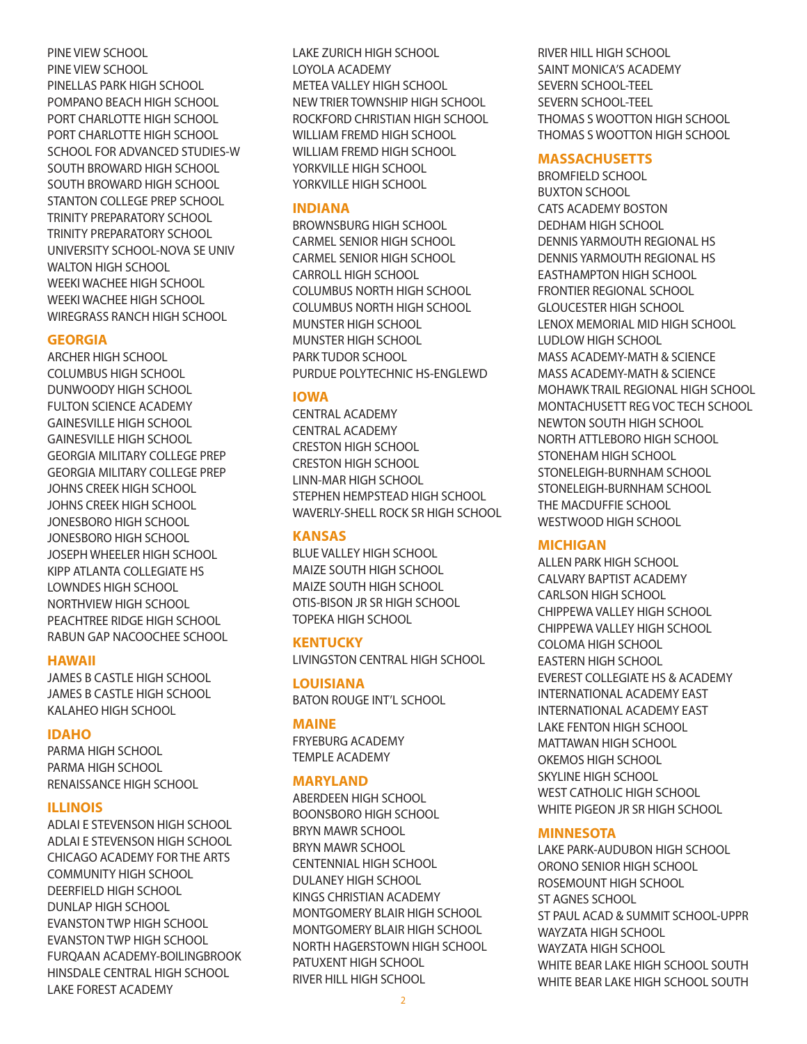PINE VIEW SCHOOL PINE VIEW SCHOOL PINELLAS PARK HIGH SCHOOL POMPANO BEACH HIGH SCHOOL PORT CHARLOTTE HIGH SCHOOL PORT CHARLOTTE HIGH SCHOOL SCHOOL FOR ADVANCED STUDIES-W SOUTH BROWARD HIGH SCHOOL SOUTH BROWARD HIGH SCHOOL STANTON COLLEGE PREP SCHOOL TRINITY PREPARATORY SCHOOL TRINITY PREPARATORY SCHOOL UNIVERSITY SCHOOL-NOVA SE UNIV WALTON HIGH SCHOOL WEEKI WACHEE HIGH SCHOOL WEEKI WACHEE HIGH SCHOOL WIREGRASS RANCH HIGH SCHOOL

#### **GEORGIA**

ARCHER HIGH SCHOOL COLUMBUS HIGH SCHOOL DUNWOODY HIGH SCHOOL FULTON SCIENCE ACADEMY GAINESVILLE HIGH SCHOOL GAINESVILLE HIGH SCHOOL GEORGIA MILITARY COLLEGE PREP GEORGIA MILITARY COLLEGE PREP JOHNS CREEK HIGH SCHOOL JOHNS CREEK HIGH SCHOOL JONESBORO HIGH SCHOOL JONESBORO HIGH SCHOOL JOSEPH WHEELER HIGH SCHOOL KIPP ATLANTA COLLEGIATE HS LOWNDES HIGH SCHOOL NORTHVIEW HIGH SCHOOL PEACHTREE RIDGE HIGH SCHOOL RABUN GAP NACOOCHEE SCHOOL

#### **HAWAII**

JAMES B CASTLE HIGH SCHOOL JAMES B CASTLE HIGH SCHOOL KALAHEO HIGH SCHOOL

#### **IDAHO**

PARMA HIGH SCHOOL PARMA HIGH SCHOOL RENAISSANCE HIGH SCHOOL

#### **ILLINOIS**

ADLAI E STEVENSON HIGH SCHOOL ADLAI E STEVENSON HIGH SCHOOL CHICAGO ACADEMY FOR THE ARTS COMMUNITY HIGH SCHOOL DEERFIELD HIGH SCHOOL DUNLAP HIGH SCHOOL EVANSTON TWP HIGH SCHOOL EVANSTON TWP HIGH SCHOOL FURQAAN ACADEMY-BOILINGBROOK HINSDALE CENTRAL HIGH SCHOOL LAKE FOREST ACADEMY

LAKE ZURICH HIGH SCHOOL LOYOLA ACADEMY METEA VALLEY HIGH SCHOOL NEW TRIER TOWNSHIP HIGH SCHOOL ROCKFORD CHRISTIAN HIGH SCHOOL WILLIAM FREMD HIGH SCHOOL WILLIAM FREMD HIGH SCHOOL YORKVILLE HIGH SCHOOL YORKVILLE HIGH SCHOOL

#### **INDIANA**

BROWNSBURG HIGH SCHOOL CARMEL SENIOR HIGH SCHOOL CARMEL SENIOR HIGH SCHOOL CARROLL HIGH SCHOOL COLUMBUS NORTH HIGH SCHOOL COLUMBUS NORTH HIGH SCHOOL MUNSTER HIGH SCHOOL MUNSTER HIGH SCHOOL PARK TUDOR SCHOOL PURDUE POLYTECHNIC HS-ENGLEWD

# **IOWA**

CENTRAL ACADEMY CENTRAL ACADEMY CRESTON HIGH SCHOOL CRESTON HIGH SCHOOL LINN-MAR HIGH SCHOOL STEPHEN HEMPSTEAD HIGH SCHOOL WAVERLY-SHELL ROCK SR HIGH SCHOOL

# **KANSAS**

BLUE VALLEY HIGH SCHOOL MAIZE SOUTH HIGH SCHOOL MAIZE SOUTH HIGH SCHOOL OTIS-BISON JR SR HIGH SCHOOL TOPEKA HIGH SCHOOL

# **KENTUCKY**

LIVINGSTON CENTRAL HIGH SCHOOL

**LOUISIANA**  BATON ROUGE INT'L SCHOOL

#### **MAINE**

FRYEBURG ACADEMY TEMPLE ACADEMY

#### **MARYLAND**

ABERDEEN HIGH SCHOOL BOONSBORO HIGH SCHOOL BRYN MAWR SCHOOL BRYN MAWR SCHOOL CENTENNIAL HIGH SCHOOL DULANEY HIGH SCHOOL KINGS CHRISTIAN ACADEMY MONTGOMERY BLAIR HIGH SCHOOL MONTGOMERY BLAIR HIGH SCHOOL NORTH HAGERSTOWN HIGH SCHOOL PATUXENT HIGH SCHOOL RIVER HILL HIGH SCHOOL

RIVER HILL HIGH SCHOOL SAINT MONICA'S ACADEMY SEVERN SCHOOL-TEEL SEVERN SCHOOL-TEEL THOMAS S WOOTTON HIGH SCHOOL THOMAS S WOOTTON HIGH SCHOOL

#### **MASSACHUSETTS**

BROMFIELD SCHOOL BUXTON SCHOOL CATS ACADEMY BOSTON DEDHAM HIGH SCHOOL DENNIS YARMOUTH REGIONAL HS DENNIS YARMOUTH REGIONAL HS EASTHAMPTON HIGH SCHOOL FRONTIER REGIONAL SCHOOL GLOUCESTER HIGH SCHOOL LENOX MEMORIAL MID HIGH SCHOOL LUDLOW HIGH SCHOOL MASS ACADEMY-MATH & SCIENCE MASS ACADEMY-MATH & SCIENCE MOHAWK TRAIL REGIONAL HIGH SCHOOL MONTACHUSETT REG VOC TECH SCHOOL NEWTON SOUTH HIGH SCHOOL NORTH ATTLEBORO HIGH SCHOOL STONEHAM HIGH SCHOOL STONELEIGH-BURNHAM SCHOOL STONELEIGH-BURNHAM SCHOOL THE MACDUFFIE SCHOOL WESTWOOD HIGH SCHOOL

#### **MICHIGAN**

ALLEN PARK HIGH SCHOOL CALVARY BAPTIST ACADEMY CARLSON HIGH SCHOOL CHIPPEWA VALLEY HIGH SCHOOL CHIPPEWA VALLEY HIGH SCHOOL COLOMA HIGH SCHOOL EASTERN HIGH SCHOOL EVEREST COLLEGIATE HS & ACADEMY INTERNATIONAL ACADEMY EAST INTERNATIONAL ACADEMY EAST LAKE FENTON HIGH SCHOOL MATTAWAN HIGH SCHOOL OKEMOS HIGH SCHOOL SKYLINE HIGH SCHOOL WEST CATHOLIC HIGH SCHOOL WHITE PIGEON JR SR HIGH SCHOOL

# **MINNESOTA**

LAKE PARK-AUDUBON HIGH SCHOOL ORONO SENIOR HIGH SCHOOL ROSEMOUNT HIGH SCHOOL ST AGNES SCHOOL ST PAUL ACAD & SUMMIT SCHOOL-UPPR WAYZATA HIGH SCHOOL WAYZATA HIGH SCHOOL WHITE BEAR LAKE HIGH SCHOOL SOUTH WHITE BEAR LAKE HIGH SCHOOL SOUTH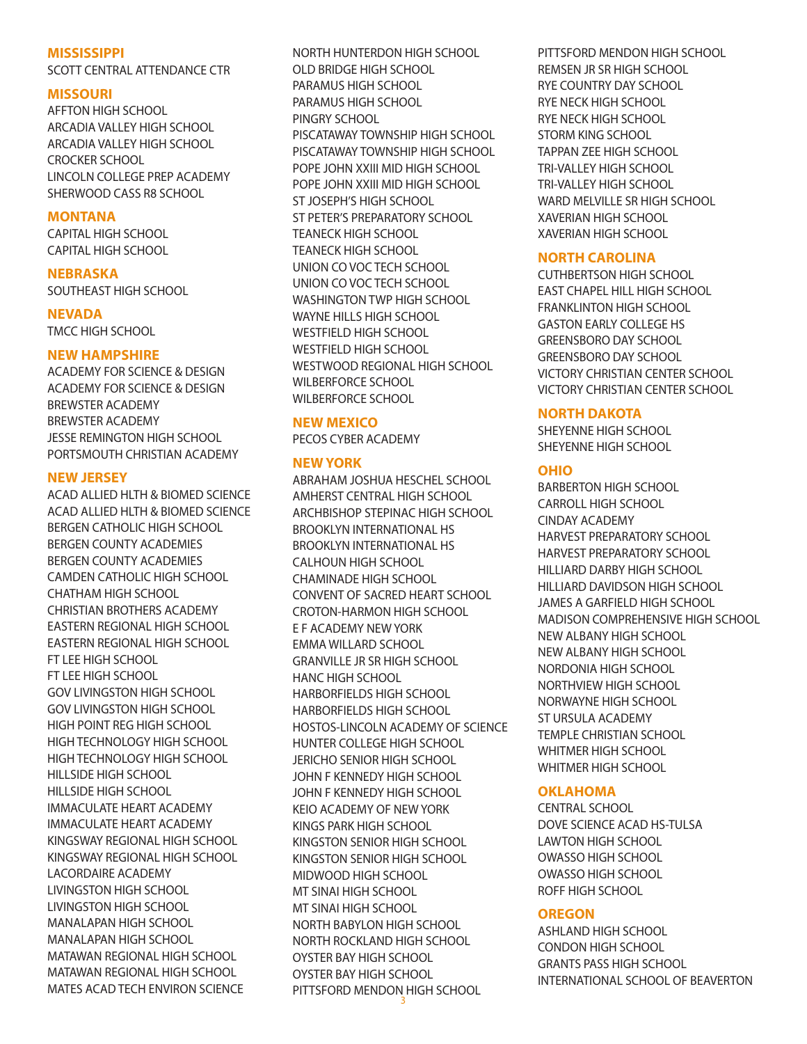#### **MISSISSIPPI**

SCOTT CENTRAL ATTENDANCE CTR

#### **MISSOURI**

AFFTON HIGH SCHOOL ARCADIA VALLEY HIGH SCHOOL ARCADIA VALLEY HIGH SCHOOL CROCKER SCHOOL LINCOLN COLLEGE PREP ACADEMY SHERWOOD CASS R8 SCHOOL

# **MONTANA**

CAPITAL HIGH SCHOOL CAPITAL HIGH SCHOOL

#### **NEBRASKA**

SOUTHEAST HIGH SCHOOL

#### **NEVADA**

TMCC HIGH SCHOOL

# **NEW HAMPSHIRE**

ACADEMY FOR SCIENCE & DESIGN ACADEMY FOR SCIENCE & DESIGN BREWSTER ACADEMY BREWSTER ACADEMY JESSE REMINGTON HIGH SCHOOL PORTSMOUTH CHRISTIAN ACADEMY

# **NEW JERSEY**

ACAD ALLIED HLTH & BIOMED SCIENCE ACAD ALLIED HLTH & BIOMED SCIENCE BERGEN CATHOLIC HIGH SCHOOL BERGEN COUNTY ACADEMIES BERGEN COUNTY ACADEMIES CAMDEN CATHOLIC HIGH SCHOOL CHATHAM HIGH SCHOOL CHRISTIAN BROTHERS ACADEMY EASTERN REGIONAL HIGH SCHOOL EASTERN REGIONAL HIGH SCHOOL FT LEE HIGH SCHOOL FT LEE HIGH SCHOOL GOV LIVINGSTON HIGH SCHOOL GOV LIVINGSTON HIGH SCHOOL HIGH POINT REG HIGH SCHOOL HIGH TECHNOLOGY HIGH SCHOOL HIGH TECHNOLOGY HIGH SCHOOL HILLSIDE HIGH SCHOOL HILLSIDE HIGH SCHOOL IMMACULATE HEART ACADEMY IMMACULATE HEART ACADEMY KINGSWAY REGIONAL HIGH SCHOOL KINGSWAY REGIONAL HIGH SCHOOL LACORDAIRE ACADEMY LIVINGSTON HIGH SCHOOL LIVINGSTON HIGH SCHOOL MANALAPAN HIGH SCHOOL MANALAPAN HIGH SCHOOL MATAWAN REGIONAL HIGH SCHOOL MATAWAN REGIONAL HIGH SCHOOL MATES ACAD TECH ENVIRON SCIENCE

NORTH HUNTERDON HIGH SCHOOL OLD BRIDGE HIGH SCHOOL PARAMUS HIGH SCHOOL PARAMUS HIGH SCHOOL PINGRY SCHOOL PISCATAWAY TOWNSHIP HIGH SCHOOL PISCATAWAY TOWNSHIP HIGH SCHOOL POPE JOHN XXIII MID HIGH SCHOOL POPE JOHN XXIII MID HIGH SCHOOL ST JOSEPH'S HIGH SCHOOL ST PETER'S PREPARATORY SCHOOL TEANECK HIGH SCHOOL TEANECK HIGH SCHOOL UNION CO VOC TECH SCHOOL UNION CO VOC TECH SCHOOL WASHINGTON TWP HIGH SCHOOL WAYNE HILLS HIGH SCHOOL WESTFIELD HIGH SCHOOL WESTFIELD HIGH SCHOOL WESTWOOD REGIONAL HIGH SCHOOL WILBERFORCE SCHOOL WILBERFORCE SCHOOL

# **NEW MEXICO**

PECOS CYBER ACADEMY

# **NEW YORK**

3 ABRAHAM JOSHUA HESCHEL SCHOOL AMHERST CENTRAL HIGH SCHOOL ARCHBISHOP STEPINAC HIGH SCHOOL BROOKLYN INTERNATIONAL HS BROOKLYN INTERNATIONAL HS CALHOUN HIGH SCHOOL CHAMINADE HIGH SCHOOL CONVENT OF SACRED HEART SCHOOL CROTON-HARMON HIGH SCHOOL E F ACADEMY NEW YORK EMMA WILLARD SCHOOL GRANVILLE JR SR HIGH SCHOOL HANC HIGH SCHOOL HARBORFIELDS HIGH SCHOOL HARBORFIELDS HIGH SCHOOL HOSTOS-LINCOLN ACADEMY OF SCIENCE HUNTER COLLEGE HIGH SCHOOL JERICHO SENIOR HIGH SCHOOL JOHN F KENNEDY HIGH SCHOOL JOHN F KENNEDY HIGH SCHOOL KEIO ACADEMY OF NEW YORK KINGS PARK HIGH SCHOOL KINGSTON SENIOR HIGH SCHOOL KINGSTON SENIOR HIGH SCHOOL MIDWOOD HIGH SCHOOL MT SINAI HIGH SCHOOL MT SINAI HIGH SCHOOL NORTH BABYLON HIGH SCHOOL NORTH ROCKLAND HIGH SCHOOL OYSTER BAY HIGH SCHOOL OYSTER BAY HIGH SCHOOL PITTSFORD MENDON HIGH SCHOOL

PITTSFORD MENDON HIGH SCHOOL REMSEN JR SR HIGH SCHOOL RYE COUNTRY DAY SCHOOL RYE NECK HIGH SCHOOL RYE NECK HIGH SCHOOL STORM KING SCHOOL TAPPAN ZEE HIGH SCHOOL TRI-VALLEY HIGH SCHOOL TRI-VALLEY HIGH SCHOOL WARD MELVILLE SR HIGH SCHOOL XAVERIAN HIGH SCHOOL XAVERIAN HIGH SCHOOL

# **NORTH CAROLINA**

CUTHBERTSON HIGH SCHOOL EAST CHAPEL HILL HIGH SCHOOL FRANKLINTON HIGH SCHOOL GASTON EARLY COLLEGE HS GREENSBORO DAY SCHOOL GREENSBORO DAY SCHOOL VICTORY CHRISTIAN CENTER SCHOOL VICTORY CHRISTIAN CENTER SCHOOL

# **NORTH DAKOTA**

SHEYENNE HIGH SCHOOL SHEYENNE HIGH SCHOOL

# **OHIO**

BARBERTON HIGH SCHOOL CARROLL HIGH SCHOOL CINDAY ACADEMY HARVEST PREPARATORY SCHOOL HARVEST PREPARATORY SCHOOL HILLIARD DARBY HIGH SCHOOL HILLIARD DAVIDSON HIGH SCHOOL JAMES A GARFIELD HIGH SCHOOL MADISON COMPREHENSIVE HIGH SCHOOL NEW ALBANY HIGH SCHOOL NEW ALBANY HIGH SCHOOL NORDONIA HIGH SCHOOL NORTHVIEW HIGH SCHOOL NORWAYNE HIGH SCHOOL ST URSULA ACADEMY TEMPLE CHRISTIAN SCHOOL WHITMER HIGH SCHOOL WHITMER HIGH SCHOOL

# **OKLAHOMA**

CENTRAL SCHOOL DOVE SCIENCE ACAD HS-TULSA LAWTON HIGH SCHOOL OWASSO HIGH SCHOOL OWASSO HIGH SCHOOL ROFF HIGH SCHOOL

# **OREGON**

ASHLAND HIGH SCHOOL CONDON HIGH SCHOOL GRANTS PASS HIGH SCHOOL INTERNATIONAL SCHOOL OF BEAVERTON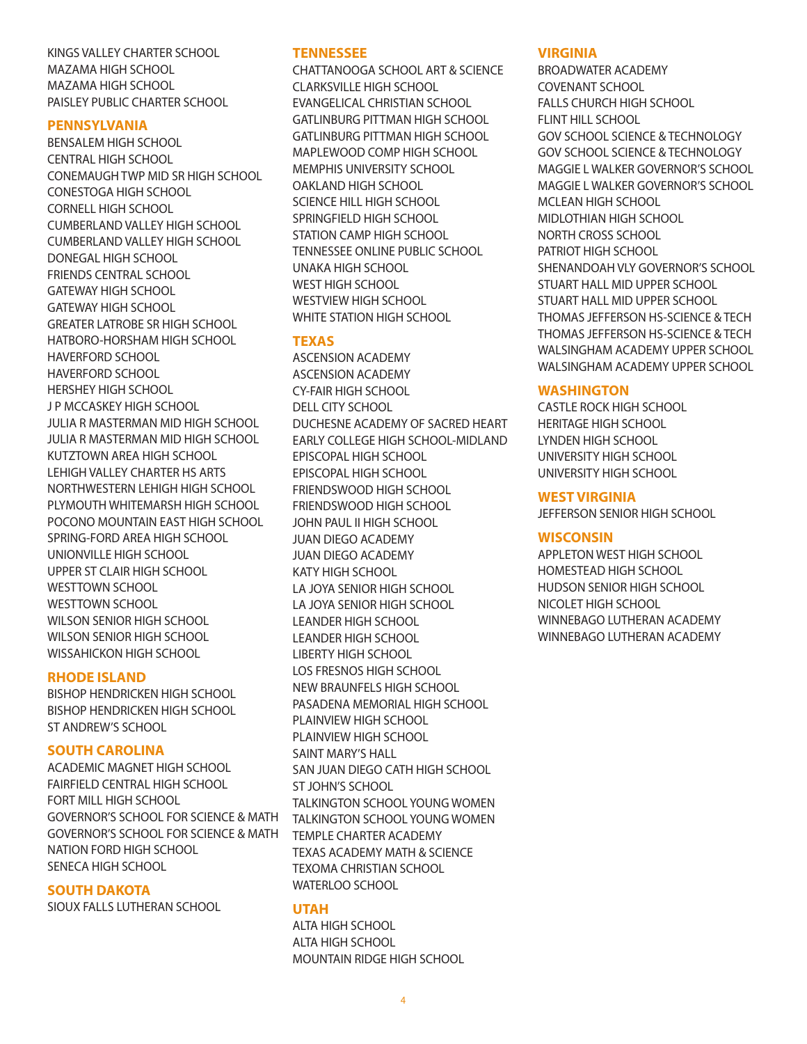KINGS VALLEY CHARTER SCHOOL MAZAMA HIGH SCHOOL MAZAMA HIGH SCHOOL PAISLEY PUBLIC CHARTER SCHOOL

#### **PENNSYLVANIA**

BENSALEM HIGH SCHOOL CENTRAL HIGH SCHOOL CONEMAUGH TWP MID SR HIGH SCHOOL CONESTOGA HIGH SCHOOL CORNELL HIGH SCHOOL CUMBERLAND VALLEY HIGH SCHOOL CUMBERLAND VALLEY HIGH SCHOOL DONEGAL HIGH SCHOOL FRIENDS CENTRAL SCHOOL GATEWAY HIGH SCHOOL GATEWAY HIGH SCHOOL GREATER LATROBE SR HIGH SCHOOL HATBORO-HORSHAM HIGH SCHOOL HAVERFORD SCHOOL HAVERFORD SCHOOL HERSHEY HIGH SCHOOL J P MCCASKEY HIGH SCHOOL JULIA R MASTERMAN MID HIGH SCHOOL JULIA R MASTERMAN MID HIGH SCHOOL KUTZTOWN AREA HIGH SCHOOL LEHIGH VALLEY CHARTER HS ARTS NORTHWESTERN LEHIGH HIGH SCHOOL PLYMOUTH WHITEMARSH HIGH SCHOOL POCONO MOUNTAIN EAST HIGH SCHOOL SPRING-FORD AREA HIGH SCHOOL UNIONVILLE HIGH SCHOOL UPPER ST CLAIR HIGH SCHOOL WESTTOWN SCHOOL WESTTOWN SCHOOL WILSON SENIOR HIGH SCHOOL WILSON SENIOR HIGH SCHOOL WISSAHICKON HIGH SCHOOL

#### **RHODE ISLAND**

BISHOP HENDRICKEN HIGH SCHOOL BISHOP HENDRICKEN HIGH SCHOOL ST ANDREW'S SCHOOL

#### **SOUTH CAROLINA**

ACADEMIC MAGNET HIGH SCHOOL FAIRFIELD CENTRAL HIGH SCHOOL FORT MILL HIGH SCHOOL GOVERNOR'S SCHOOL FOR SCIENCE & MATH GOVERNOR'S SCHOOL FOR SCIENCE & MATH NATION FORD HIGH SCHOOL SENECA HIGH SCHOOL

#### **SOUTH DAKOTA**

SIOUX FALLS LUTHERAN SCHOOL

#### **TENNESSEE**

CHATTANOOGA SCHOOL ART & SCIENCE CLARKSVILLE HIGH SCHOOL EVANGELICAL CHRISTIAN SCHOOL GATLINBURG PITTMAN HIGH SCHOOL GATLINBURG PITTMAN HIGH SCHOOL MAPLEWOOD COMP HIGH SCHOOL MEMPHIS UNIVERSITY SCHOOL OAKLAND HIGH SCHOOL SCIENCE HILL HIGH SCHOOL SPRINGFIELD HIGH SCHOOL STATION CAMP HIGH SCHOOL TENNESSEE ONLINE PUBLIC SCHOOL UNAKA HIGH SCHOOL WEST HIGH SCHOOL WESTVIEW HIGH SCHOOL WHITE STATION HIGH SCHOOL

# **TEXAS**

ASCENSION ACADEMY ASCENSION ACADEMY CY-FAIR HIGH SCHOOL DELL CITY SCHOOL DUCHESNE ACADEMY OF SACRED HEART EARLY COLLEGE HIGH SCHOOL-MIDLAND EPISCOPAL HIGH SCHOOL EPISCOPAL HIGH SCHOOL FRIENDSWOOD HIGH SCHOOL FRIENDSWOOD HIGH SCHOOL JOHN PAUL II HIGH SCHOOL JUAN DIEGO ACADEMY JUAN DIEGO ACADEMY KATY HIGH SCHOOL LA JOYA SENIOR HIGH SCHOOL LA JOYA SENIOR HIGH SCHOOL LEANDER HIGH SCHOOL LEANDER HIGH SCHOOL LIBERTY HIGH SCHOOL LOS FRESNOS HIGH SCHOOL NEW BRAUNFELS HIGH SCHOOL PASADENA MEMORIAL HIGH SCHOOL PLAINVIEW HIGH SCHOOL PLAINVIEW HIGH SCHOOL SAINT MARY'S HALL SAN JUAN DIEGO CATH HIGH SCHOOL ST JOHN'S SCHOOL TALKINGTON SCHOOL YOUNG WOMEN TALKINGTON SCHOOL YOUNG WOMEN TEMPLE CHARTER ACADEMY TEXAS ACADEMY MATH & SCIENCE TEXOMA CHRISTIAN SCHOOL WATERLOO SCHOOL

#### **UTAH**

ALTA HIGH SCHOOL ALTA HIGH SCHOOL MOUNTAIN RIDGE HIGH SCHOOL

#### **VIRGINIA**

BROADWATER ACADEMY COVENANT SCHOOL FALLS CHURCH HIGH SCHOOL FLINT HILL SCHOOL GOV SCHOOL SCIENCE & TECHNOLOGY GOV SCHOOL SCIENCE & TECHNOLOGY MAGGIE L WALKER GOVERNOR'S SCHOOL MAGGIE L WALKER GOVERNOR'S SCHOOL MCLEAN HIGH SCHOOL MIDLOTHIAN HIGH SCHOOL NORTH CROSS SCHOOL PATRIOT HIGH SCHOOL SHENANDOAH VLY GOVERNOR'S SCHOOL STUART HALL MID UPPER SCHOOL STUART HALL MID UPPER SCHOOL THOMAS JEFFERSON HS-SCIENCE & TECH THOMAS JEFFERSON HS-SCIENCE & TECH WALSINGHAM ACADEMY UPPER SCHOOL WALSINGHAM ACADEMY UPPER SCHOOL

# **WASHINGTON**

CASTLE ROCK HIGH SCHOOL HERITAGE HIGH SCHOOL LYNDEN HIGH SCHOOL UNIVERSITY HIGH SCHOOL UNIVERSITY HIGH SCHOOL

#### **WEST VIRGINIA**

JEFFERSON SENIOR HIGH SCHOOL

#### **WISCONSIN**

APPLETON WEST HIGH SCHOOL HOMESTEAD HIGH SCHOOL HUDSON SENIOR HIGH SCHOOL NICOLET HIGH SCHOOL WINNEBAGO LUTHERAN ACADEMY WINNEBAGO LUTHERAN ACADEMY